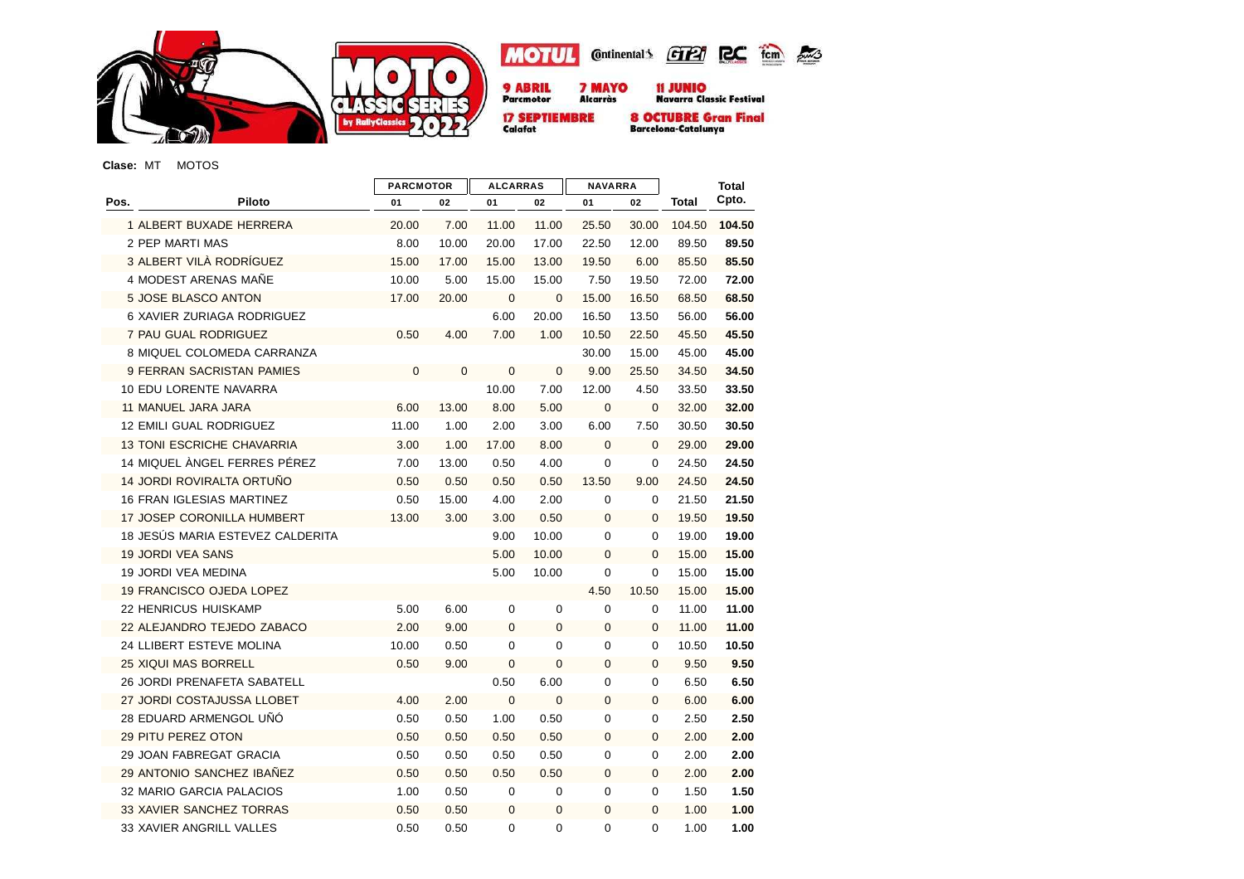





**7 MAYO**<br>Alcarràs 11 JUNIO<br>Navarra Classic Festival

**8 OCTUBRE Gran Final**<br>Barcelona-Catalunya

**Clase:** MT MOTOS

|      |                                    | <b>PARCMOTOR</b> |             | <b>ALCARRAS</b> |              | <b>NAVARRA</b> |              |              | <b>Total</b> |
|------|------------------------------------|------------------|-------------|-----------------|--------------|----------------|--------------|--------------|--------------|
| Pos. | Piloto                             | 01               | 02          | 01              | 02           | 01             | 02           | <b>Total</b> | Cpto.        |
|      | 1 ALBERT BUXADE HERRERA            | 20.00            | 7.00        | 11.00           | 11.00        | 25.50          | 30.00        | 104.50       | 104.50       |
|      | 2 PEP MARTI MAS                    | 8.00             | 10.00       | 20.00           | 17.00        | 22.50          | 12.00        | 89.50        | 89.50        |
|      | 3 ALBERT VILÀ RODRÍGUEZ            | 15.00            | 17.00       | 15.00           | 13.00        | 19.50          | 6.00         | 85.50        | 85.50        |
|      | 4 MODEST ARENAS MAÑE               | 10.00            | 5.00        | 15.00           | 15.00        | 7.50           | 19.50        | 72.00        | 72.00        |
|      | 5 JOSE BLASCO ANTON                | 17.00            | 20.00       | $\mathbf{0}$    | $\mathbf{0}$ | 15.00          | 16.50        | 68.50        | 68.50        |
|      | 6 XAVIER ZURIAGA RODRIGUEZ         |                  |             | 6.00            | 20.00        | 16.50          | 13.50        | 56.00        | 56.00        |
|      | 7 PAU GUAL RODRIGUEZ               | 0.50             | 4.00        | 7.00            | 1.00         | 10.50          | 22.50        | 45.50        | 45.50        |
|      | 8 MIQUEL COLOMEDA CARRANZA         |                  |             |                 |              | 30.00          | 15.00        | 45.00        | 45.00        |
|      | 9 FERRAN SACRISTAN PAMIES          | 0                | $\mathbf 0$ | $\mathbf 0$     | $\mathbf{0}$ | 9.00           | 25.50        | 34.50        | 34.50        |
|      | 10 EDU LORENTE NAVARRA             |                  |             | 10.00           | 7.00         | 12.00          | 4.50         | 33.50        | 33.50        |
|      | 11 MANUEL JARA JARA                | 6.00             | 13.00       | 8.00            | 5.00         | $\mathbf 0$    | $\mathbf 0$  | 32.00        | 32.00        |
|      | <b>12 EMILI GUAL RODRIGUEZ</b>     | 11.00            | 1.00        | 2.00            | 3.00         | 6.00           | 7.50         | 30.50        | 30.50        |
|      | <b>13 TONI ESCRICHE CHAVARRIA</b>  | 3.00             | 1.00        | 17.00           | 8.00         | $\mathbf{0}$   | $\mathbf{0}$ | 29.00        | 29.00        |
|      | 14 MIQUEL ÀNGEL FERRES PÉREZ       | 7.00             | 13.00       | 0.50            | 4.00         | 0              | $\mathbf 0$  | 24.50        | 24.50        |
|      | 14 JORDI ROVIRALTA ORTUÑO          | 0.50             | 0.50        | 0.50            | 0.50         | 13.50          | 9.00         | 24.50        | 24.50        |
|      | 16 FRAN IGLESIAS MARTINEZ          | 0.50             | 15.00       | 4.00            | 2.00         | 0              | 0            | 21.50        | 21.50        |
|      | <b>17 JOSEP CORONILLA HUMBERT</b>  | 13.00            | 3.00        | 3.00            | 0.50         | $\mathbf{0}$   | $\Omega$     | 19.50        | 19.50        |
|      | 18 JESÚS MARIA ESTEVEZ CALDERITA   |                  |             | 9.00            | 10.00        | 0              | 0            | 19.00        | 19.00        |
|      | <b>19 JORDI VEA SANS</b>           |                  |             | 5.00            | 10.00        | 0              | $\mathbf{0}$ | 15.00        | 15.00        |
|      | <b>19 JORDI VEA MEDINA</b>         |                  |             | 5.00            | 10.00        | 0              | $\mathbf 0$  | 15.00        | 15.00        |
|      | <b>19 FRANCISCO OJEDA LOPEZ</b>    |                  |             |                 |              | 4.50           | 10.50        | 15.00        | 15.00        |
|      | 22 HENRICUS HUISKAMP               | 5.00             | 6.00        | 0               | 0            | 0              | 0            | 11.00        | 11.00        |
|      | 22 ALEJANDRO TEJEDO ZABACO         | 2.00             | 9.00        | $\mathbf 0$     | $\mathbf{0}$ | 0              | $\mathbf{0}$ | 11.00        | 11.00        |
|      | 24 LLIBERT ESTEVE MOLINA           | 10.00            | 0.50        | 0               | 0            | 0              | $\mathbf 0$  | 10.50        | 10.50        |
|      | <b>25 XIQUI MAS BORRELL</b>        | 0.50             | 9.00        | $\mathbf 0$     | $\mathbf 0$  | 0              | $\mathbf{0}$ | 9.50         | 9.50         |
|      | <b>26 JORDI PRENAFETA SABATELL</b> |                  |             | 0.50            | 6.00         | 0              | $\mathbf 0$  | 6.50         | 6.50         |
|      | 27 JORDI COSTAJUSSA LLOBET         | 4.00             | 2.00        | $\mathbf 0$     | $\mathbf 0$  | 0              | $\mathbf{0}$ | 6.00         | 6.00         |
|      | 28 EDUARD ARMENGOL UÑO             | 0.50             | 0.50        | 1.00            | 0.50         | 0              | $\mathbf 0$  | 2.50         | 2.50         |
|      | 29 PITU PEREZ OTON                 | 0.50             | 0.50        | 0.50            | 0.50         | 0              | $\mathbf 0$  | 2.00         | 2.00         |
|      | 29 JOAN FABREGAT GRACIA            | 0.50             | 0.50        | 0.50            | 0.50         | 0              | $\Omega$     | 2.00         | 2.00         |
|      | 29 ANTONIO SANCHEZ IBAÑEZ          | 0.50             | 0.50        | 0.50            | 0.50         | $\mathbf{0}$   | $\Omega$     | 2.00         | 2.00         |
|      | 32 MARIO GARCIA PALACIOS           | 1.00             | 0.50        | 0               | 0            | 0              | 0            | 1.50         | 1.50         |
|      | 33 XAVIER SANCHEZ TORRAS           | 0.50             | 0.50        | $\mathbf 0$     | $\mathbf 0$  | 0              | $\mathbf{0}$ | 1.00         | 1.00         |
|      | 33 XAVIER ANGRILL VALLES           | 0.50             | 0.50        | 0               | 0            | 0              | $\mathbf 0$  | 1.00         | 1.00         |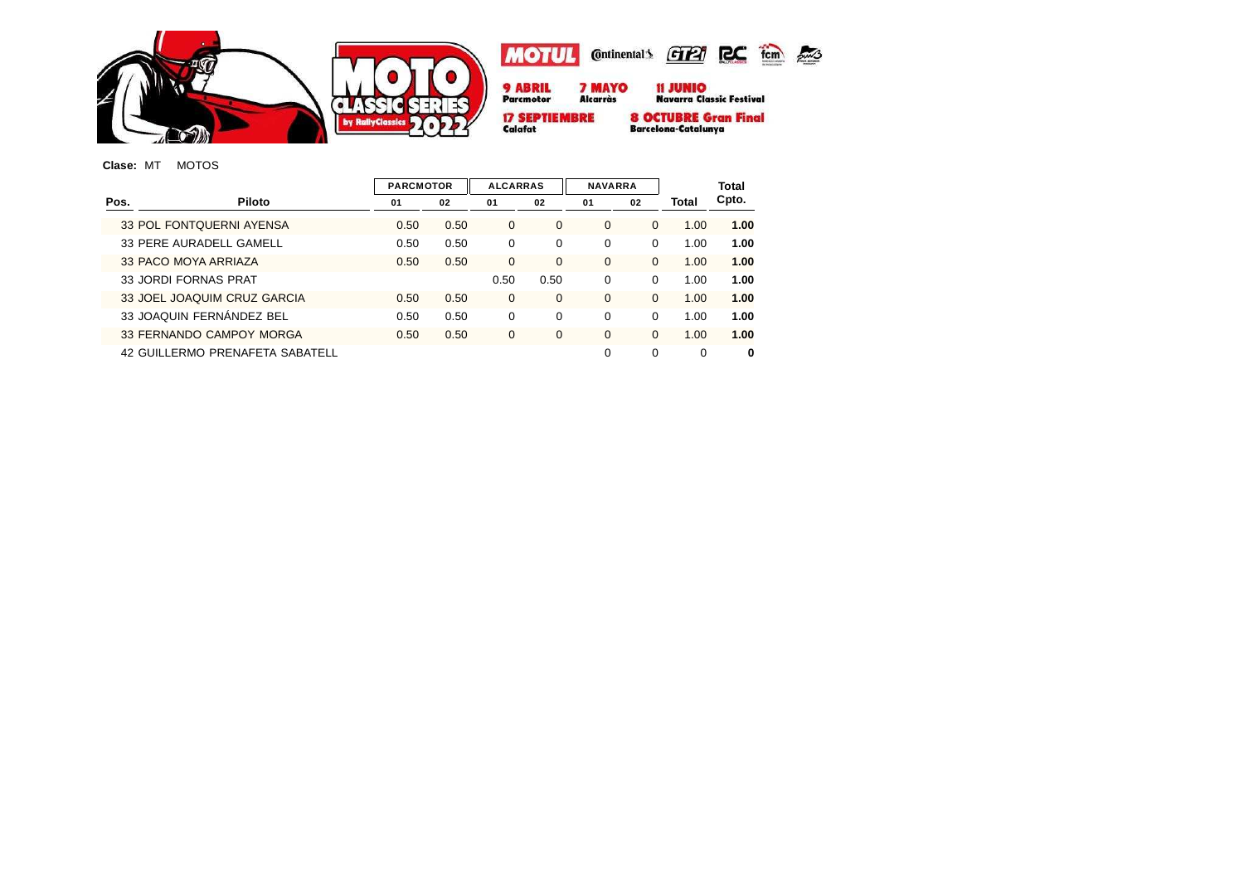

## **Clase:** MT MOTOS

| <b>PARCMOTOR</b> |      | <b>ALCARRAS</b> |          | <b>NAVARRA</b> |             |          | Total    |
|------------------|------|-----------------|----------|----------------|-------------|----------|----------|
| 01               | 02   | 01              | 02       | 01             | 02          | Total    | Cpto.    |
| 0.50             | 0.50 | $\Omega$        | 0        | $\Omega$       | 0           | 1.00     | 1.00     |
| 0.50             | 0.50 | $\Omega$        | 0        | $\Omega$       | 0           | 1.00     | 1.00     |
| 0.50             | 0.50 | $\Omega$        | $\Omega$ | $\Omega$       | $\Omega$    | 1.00     | 1.00     |
|                  |      | 0.50            | 0.50     | $\Omega$       | $\Omega$    | 1.00     | 1.00     |
| 0.50             | 0.50 | $\mathbf 0$     | $\Omega$ | $\Omega$       | $\Omega$    | 1.00     | 1.00     |
| 0.50             | 0.50 | $\Omega$        | $\Omega$ | $\Omega$       | $\Omega$    | 1.00     | 1.00     |
| 0.50             | 0.50 | $\mathbf 0$     | 0        | $\Omega$       | 0           | 1.00     | 1.00     |
|                  |      |                 |          | $\Omega$       | $\mathbf 0$ | $\Omega$ | $\bf{0}$ |
|                  |      |                 |          |                |             |          |          |